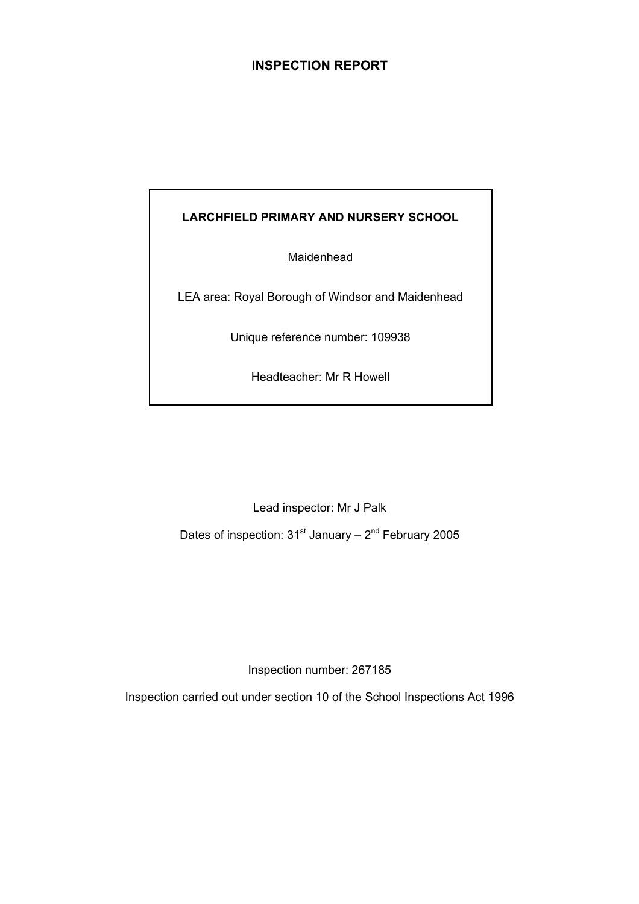## **INSPECTION REPORT**

## **LARCHFIELD PRIMARY AND NURSERY SCHOOL**

Maidenhead

LEA area: Royal Borough of Windsor and Maidenhead

Unique reference number: 109938

Headteacher: Mr R Howell

Lead inspector: Mr J Palk

Dates of inspection:  $31<sup>st</sup>$  January –  $2<sup>nd</sup>$  February 2005

Inspection number: 267185

Inspection carried out under section 10 of the School Inspections Act 1996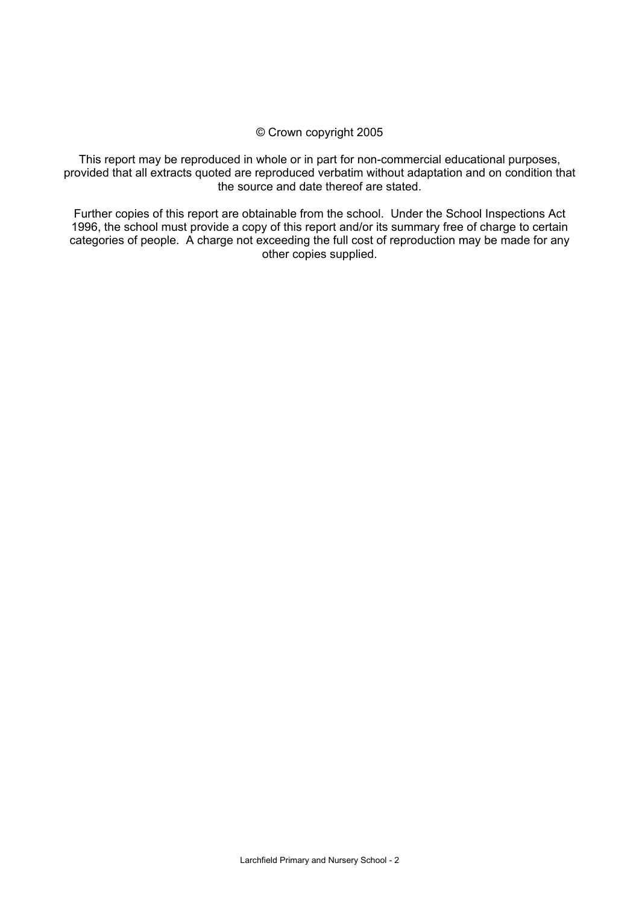#### © Crown copyright 2005

This report may be reproduced in whole or in part for non-commercial educational purposes, provided that all extracts quoted are reproduced verbatim without adaptation and on condition that the source and date thereof are stated.

Further copies of this report are obtainable from the school. Under the School Inspections Act 1996, the school must provide a copy of this report and/or its summary free of charge to certain categories of people. A charge not exceeding the full cost of reproduction may be made for any other copies supplied.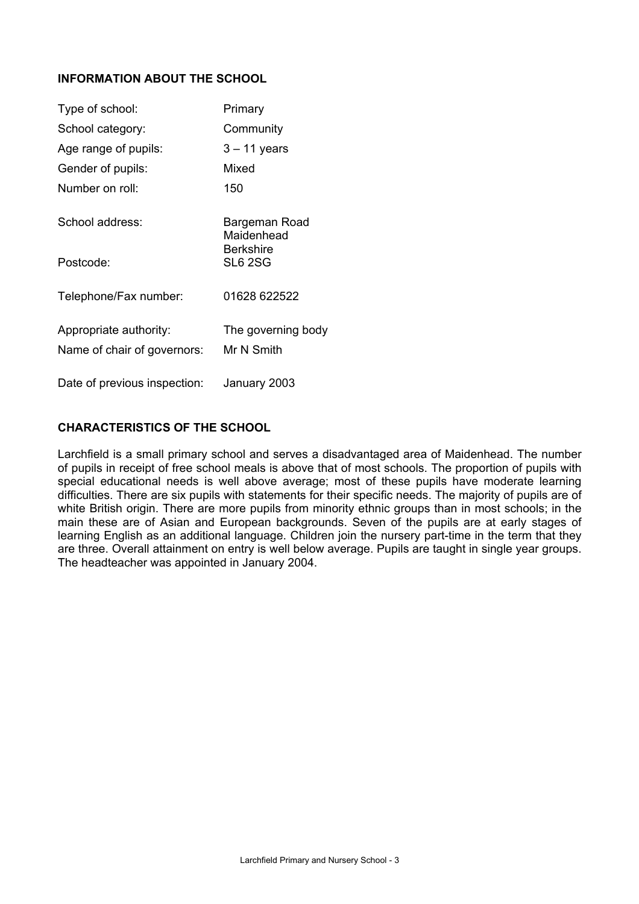## **INFORMATION ABOUT THE SCHOOL**

| Type of school:              | Primary                            |
|------------------------------|------------------------------------|
| School category:             | Community                          |
| Age range of pupils:         | $3 - 11$ years                     |
| Gender of pupils:            | Mixed                              |
| Number on roll:              | 150                                |
| School address:              | Bargeman Road<br>Maidenhead        |
| Postcode:                    | <b>Berkshire</b><br><b>SL6 2SG</b> |
| Telephone/Fax number:        | 01628 622522                       |
| Appropriate authority:       | The governing body                 |
| Name of chair of governors:  | Mr N Smith                         |
| Date of previous inspection: | January 2003                       |

## **CHARACTERISTICS OF THE SCHOOL**

Larchfield is a small primary school and serves a disadvantaged area of Maidenhead. The number of pupils in receipt of free school meals is above that of most schools. The proportion of pupils with special educational needs is well above average; most of these pupils have moderate learning difficulties. There are six pupils with statements for their specific needs. The majority of pupils are of white British origin. There are more pupils from minority ethnic groups than in most schools; in the main these are of Asian and European backgrounds. Seven of the pupils are at early stages of learning English as an additional language. Children join the nursery part-time in the term that they are three. Overall attainment on entry is well below average. Pupils are taught in single year groups. The headteacher was appointed in January 2004.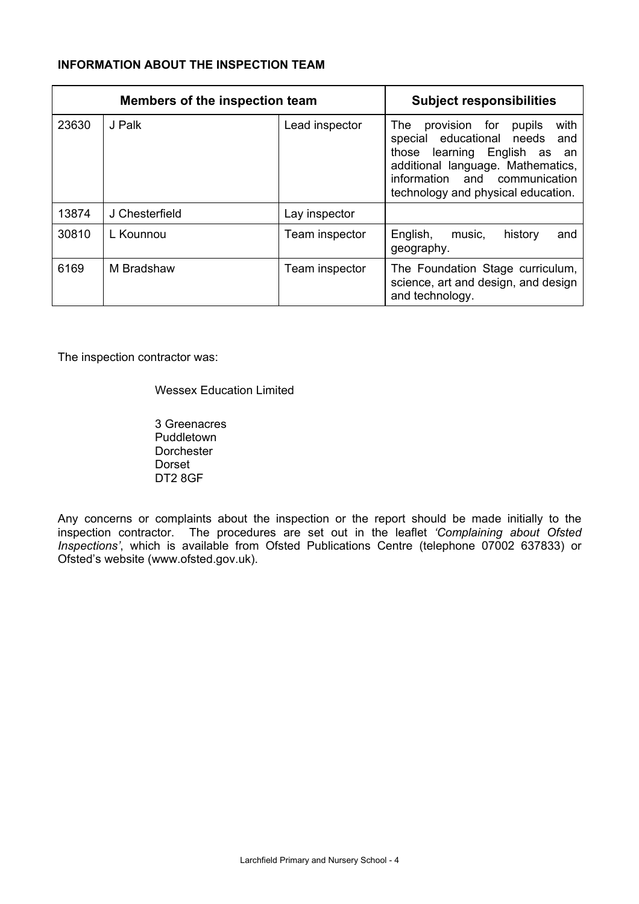## **INFORMATION ABOUT THE INSPECTION TEAM**

|       | <b>Members of the inspection team</b> | <b>Subject responsibilities</b> |                                                                                                                                                                                                                              |
|-------|---------------------------------------|---------------------------------|------------------------------------------------------------------------------------------------------------------------------------------------------------------------------------------------------------------------------|
| 23630 | J Palk                                | Lead inspector                  | with<br>provision for<br>The<br>pupils<br>special educational needs and<br>those<br>learning<br>English as<br>an<br>additional language. Mathematics,<br>information and communication<br>technology and physical education. |
| 13874 | J Chesterfield                        | Lay inspector                   |                                                                                                                                                                                                                              |
| 30810 | L Kounnou                             | Team inspector                  | English,<br>history<br>music,<br>and<br>geography.                                                                                                                                                                           |
| 6169  | M Bradshaw                            | Team inspector                  | The Foundation Stage curriculum,<br>science, art and design, and design<br>and technology.                                                                                                                                   |

The inspection contractor was:

Wessex Education Limited

 3 Greenacres Puddletown Dorchester Dorset DT2 8GF

Any concerns or complaints about the inspection or the report should be made initially to the inspection contractor. The procedures are set out in the leaflet *'Complaining about Ofsted Inspections'*, which is available from Ofsted Publications Centre (telephone 07002 637833) or Ofsted's website (www.ofsted.gov.uk).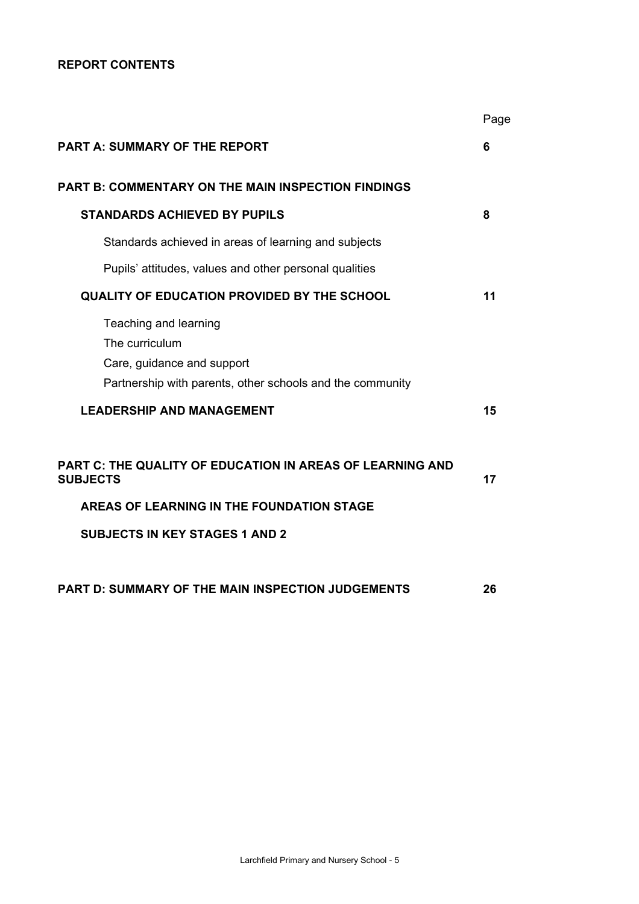## **REPORT CONTENTS**

|                                                                                                                                    | Page |
|------------------------------------------------------------------------------------------------------------------------------------|------|
| <b>PART A: SUMMARY OF THE REPORT</b>                                                                                               | 6    |
| <b>PART B: COMMENTARY ON THE MAIN INSPECTION FINDINGS</b>                                                                          |      |
| <b>STANDARDS ACHIEVED BY PUPILS</b>                                                                                                | 8    |
| Standards achieved in areas of learning and subjects                                                                               |      |
| Pupils' attitudes, values and other personal qualities                                                                             |      |
| <b>QUALITY OF EDUCATION PROVIDED BY THE SCHOOL</b>                                                                                 | 11   |
| Teaching and learning<br>The curriculum<br>Care, guidance and support<br>Partnership with parents, other schools and the community |      |
| <b>LEADERSHIP AND MANAGEMENT</b>                                                                                                   | 15   |
| PART C: THE QUALITY OF EDUCATION IN AREAS OF LEARNING AND<br><b>SUBJECTS</b>                                                       | 17   |
| AREAS OF LEARNING IN THE FOUNDATION STAGE                                                                                          |      |
| <b>SUBJECTS IN KEY STAGES 1 AND 2</b>                                                                                              |      |
| PART D: SUMMARY OF THE MAIN INSPECTION JUDGEMENTS                                                                                  | 26   |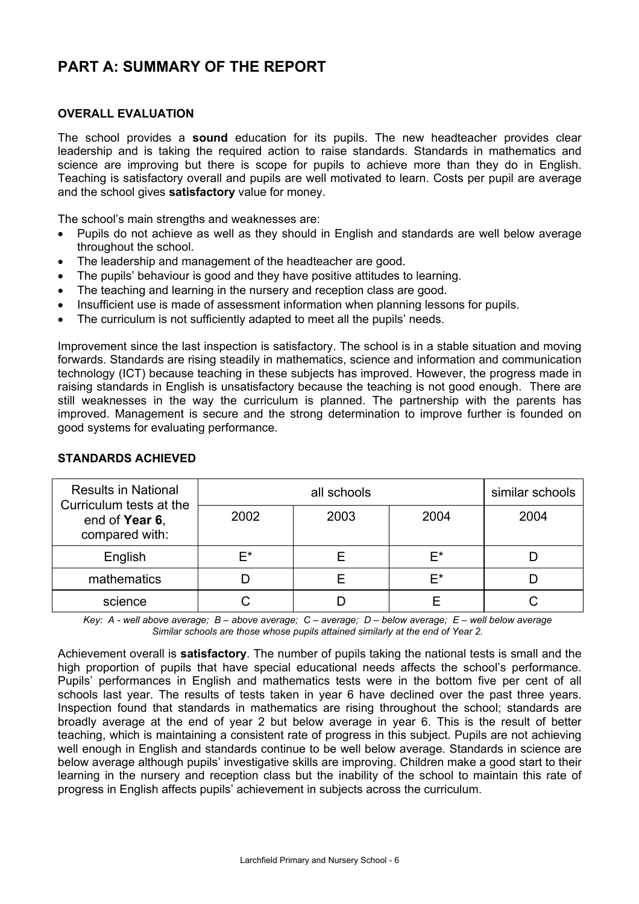# **PART A: SUMMARY OF THE REPORT**

## **OVERALL EVALUATION**

The school provides a **sound** education for its pupils. The new headteacher provides clear leadership and is taking the required action to raise standards. Standards in mathematics and science are improving but there is scope for pupils to achieve more than they do in English. Teaching is satisfactory overall and pupils are well motivated to learn. Costs per pupil are average and the school gives **satisfactory** value for money.

The school's main strengths and weaknesses are:

- Pupils do not achieve as well as they should in English and standards are well below average throughout the school.
- The leadership and management of the headteacher are good.
- The pupils' behaviour is good and they have positive attitudes to learning.
- The teaching and learning in the nursery and reception class are good.
- Insufficient use is made of assessment information when planning lessons for pupils.
- The curriculum is not sufficiently adapted to meet all the pupils' needs.

Improvement since the last inspection is satisfactory. The school is in a stable situation and moving forwards. Standards are rising steadily in mathematics, science and information and communication technology (ICT) because teaching in these subjects has improved. However, the progress made in raising standards in English is unsatisfactory because the teaching is not good enough. There are still weaknesses in the way the curriculum is planned. The partnership with the parents has improved. Management is secure and the strong determination to improve further is founded on good systems for evaluating performance.

| <b>Results in National</b><br>Curriculum tests at the |      | similar schools |      |      |
|-------------------------------------------------------|------|-----------------|------|------|
| end of Year 6,<br>compared with:                      | 2002 | 2003            | 2004 | 2004 |
| English                                               | F*   |                 | E*   |      |
| mathematics                                           |      |                 | F*   |      |
| science                                               |      |                 |      |      |

#### **STANDARDS ACHIEVED**

*Key: A - well above average; B – above average; C – average; D – below average; E – well below average Similar schools are those whose pupils attained similarly at the end of Year 2.* 

Achievement overall is **satisfactory**. The number of pupils taking the national tests is small and the high proportion of pupils that have special educational needs affects the school's performance. Pupils' performances in English and mathematics tests were in the bottom five per cent of all schools last year. The results of tests taken in year 6 have declined over the past three years. Inspection found that standards in mathematics are rising throughout the school; standards are broadly average at the end of year 2 but below average in year 6. This is the result of better teaching, which is maintaining a consistent rate of progress in this subject. Pupils are not achieving well enough in English and standards continue to be well below average. Standards in science are below average although pupils' investigative skills are improving. Children make a good start to their learning in the nursery and reception class but the inability of the school to maintain this rate of progress in English affects pupils' achievement in subjects across the curriculum.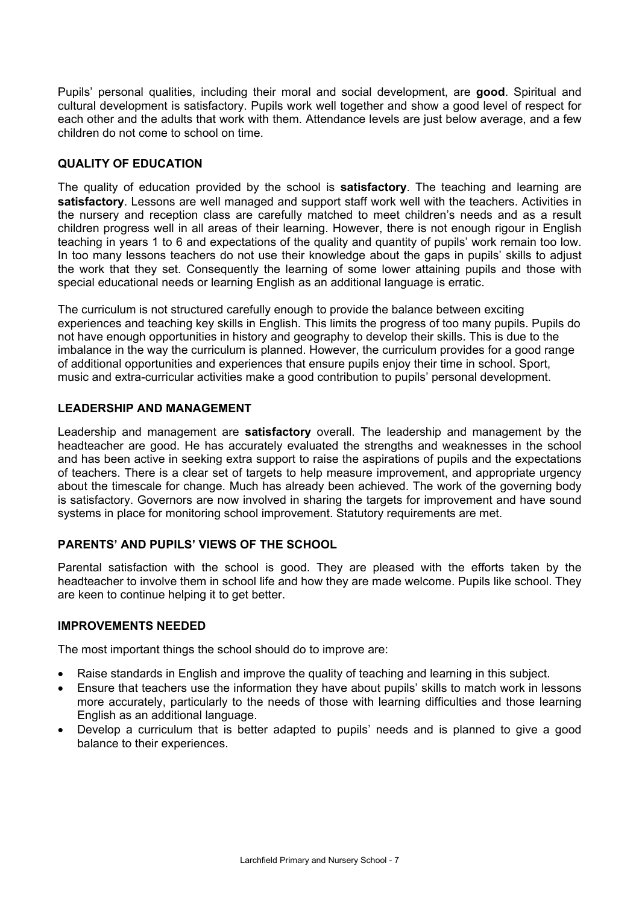Pupils' personal qualities, including their moral and social development, are **good**. Spiritual and cultural development is satisfactory. Pupils work well together and show a good level of respect for each other and the adults that work with them. Attendance levels are just below average, and a few children do not come to school on time.

## **QUALITY OF EDUCATION**

The quality of education provided by the school is **satisfactory**. The teaching and learning are **satisfactory**. Lessons are well managed and support staff work well with the teachers. Activities in the nursery and reception class are carefully matched to meet children's needs and as a result children progress well in all areas of their learning. However, there is not enough rigour in English teaching in years 1 to 6 and expectations of the quality and quantity of pupils' work remain too low. In too many lessons teachers do not use their knowledge about the gaps in pupils' skills to adjust the work that they set. Consequently the learning of some lower attaining pupils and those with special educational needs or learning English as an additional language is erratic.

The curriculum is not structured carefully enough to provide the balance between exciting experiences and teaching key skills in English. This limits the progress of too many pupils. Pupils do not have enough opportunities in history and geography to develop their skills. This is due to the imbalance in the way the curriculum is planned. However, the curriculum provides for a good range of additional opportunities and experiences that ensure pupils enjoy their time in school. Sport, music and extra-curricular activities make a good contribution to pupils' personal development.

#### **LEADERSHIP AND MANAGEMENT**

Leadership and management are **satisfactory** overall. The leadership and management by the headteacher are good. He has accurately evaluated the strengths and weaknesses in the school and has been active in seeking extra support to raise the aspirations of pupils and the expectations of teachers. There is a clear set of targets to help measure improvement, and appropriate urgency about the timescale for change. Much has already been achieved. The work of the governing body is satisfactory. Governors are now involved in sharing the targets for improvement and have sound systems in place for monitoring school improvement. Statutory requirements are met.

## **PARENTS' AND PUPILS' VIEWS OF THE SCHOOL**

Parental satisfaction with the school is good. They are pleased with the efforts taken by the headteacher to involve them in school life and how they are made welcome. Pupils like school. They are keen to continue helping it to get better.

#### **IMPROVEMENTS NEEDED**

The most important things the school should do to improve are:

- Raise standards in English and improve the quality of teaching and learning in this subject.
- Ensure that teachers use the information they have about pupils' skills to match work in lessons more accurately, particularly to the needs of those with learning difficulties and those learning English as an additional language.
- Develop a curriculum that is better adapted to pupils' needs and is planned to give a good balance to their experiences.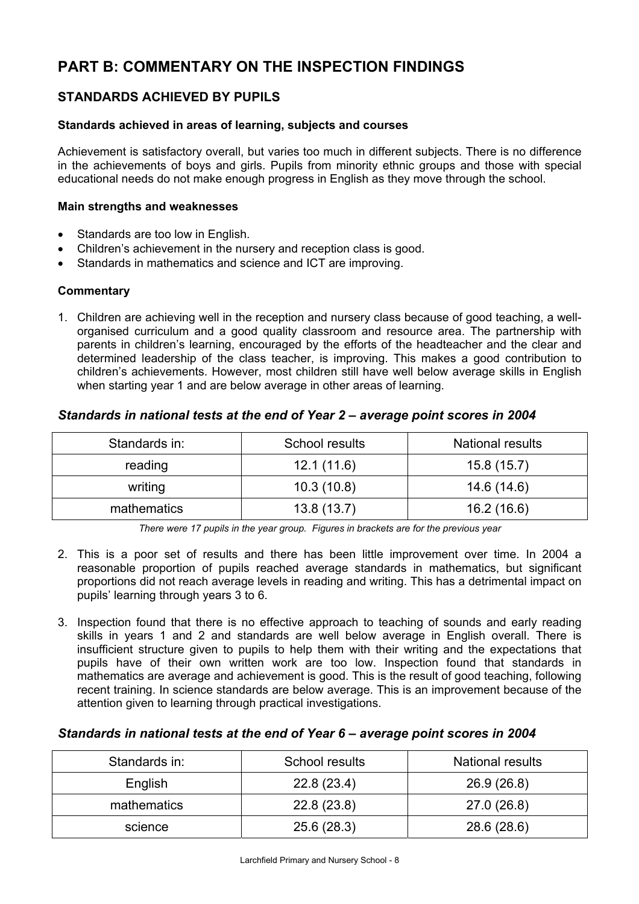# **PART B: COMMENTARY ON THE INSPECTION FINDINGS**

## **STANDARDS ACHIEVED BY PUPILS**

## **Standards achieved in areas of learning, subjects and courses**

Achievement is satisfactory overall, but varies too much in different subjects. There is no difference in the achievements of boys and girls. Pupils from minority ethnic groups and those with special educational needs do not make enough progress in English as they move through the school.

## **Main strengths and weaknesses**

- Standards are too low in English.
- Children's achievement in the nursery and reception class is good.
- Standards in mathematics and science and ICT are improving.

## **Commentary**

1. Children are achieving well in the reception and nursery class because of good teaching, a wellorganised curriculum and a good quality classroom and resource area. The partnership with parents in children's learning, encouraged by the efforts of the headteacher and the clear and determined leadership of the class teacher, is improving. This makes a good contribution to children's achievements. However, most children still have well below average skills in English when starting year 1 and are below average in other areas of learning.

## *Standards in national tests at the end of Year 2 – average point scores in 2004*

| Standards in: | School results | <b>National results</b> |
|---------------|----------------|-------------------------|
| reading       | 12.1(11.6)     | 15.8(15.7)              |
| writing       | 10.3(10.8)     | 14.6 (14.6)             |
| mathematics   | 13.8(13.7)     | 16.2(16.6)              |

*There were 17 pupils in the year group. Figures in brackets are for the previous year* 

- 2. This is a poor set of results and there has been little improvement over time. In 2004 a reasonable proportion of pupils reached average standards in mathematics, but significant proportions did not reach average levels in reading and writing. This has a detrimental impact on pupils' learning through years 3 to 6.
- 3. Inspection found that there is no effective approach to teaching of sounds and early reading skills in years 1 and 2 and standards are well below average in English overall. There is insufficient structure given to pupils to help them with their writing and the expectations that pupils have of their own written work are too low. Inspection found that standards in mathematics are average and achievement is good. This is the result of good teaching, following recent training. In science standards are below average. This is an improvement because of the attention given to learning through practical investigations.

## *Standards in national tests at the end of Year 6 – average point scores in 2004*

| Standards in: | School results | <b>National results</b> |
|---------------|----------------|-------------------------|
| English       | 22.8(23.4)     | 26.9(26.8)              |
| mathematics   | 22.8(23.8)     | 27.0(26.8)              |
| science       | 25.6(28.3)     | 28.6 (28.6)             |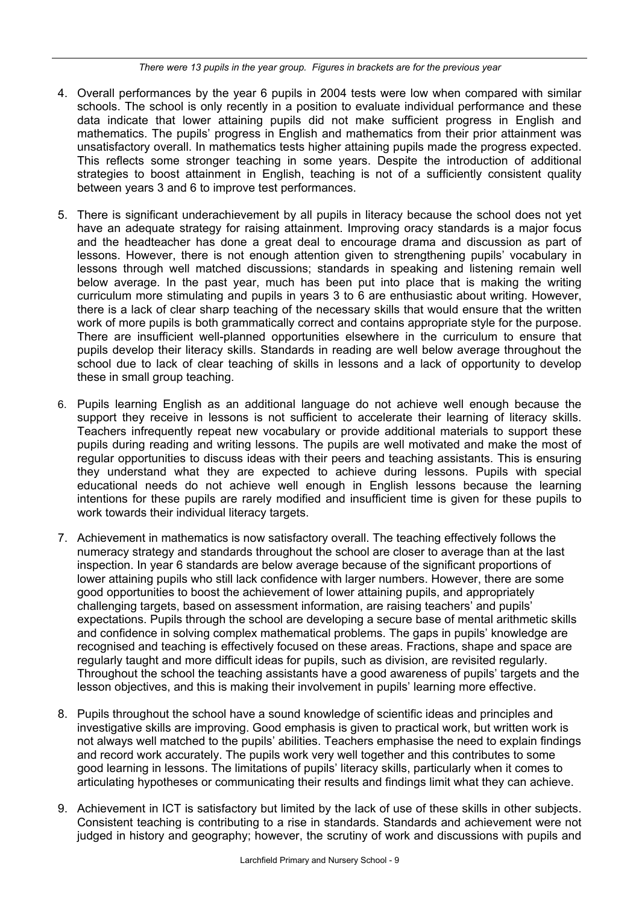- 4. Overall performances by the year 6 pupils in 2004 tests were low when compared with similar schools. The school is only recently in a position to evaluate individual performance and these data indicate that lower attaining pupils did not make sufficient progress in English and mathematics. The pupils' progress in English and mathematics from their prior attainment was unsatisfactory overall. In mathematics tests higher attaining pupils made the progress expected. This reflects some stronger teaching in some years. Despite the introduction of additional strategies to boost attainment in English, teaching is not of a sufficiently consistent quality between years 3 and 6 to improve test performances.
- 5. There is significant underachievement by all pupils in literacy because the school does not yet have an adequate strategy for raising attainment. Improving oracy standards is a major focus and the headteacher has done a great deal to encourage drama and discussion as part of lessons. However, there is not enough attention given to strengthening pupils' vocabulary in lessons through well matched discussions; standards in speaking and listening remain well below average. In the past year, much has been put into place that is making the writing curriculum more stimulating and pupils in years 3 to 6 are enthusiastic about writing. However, there is a lack of clear sharp teaching of the necessary skills that would ensure that the written work of more pupils is both grammatically correct and contains appropriate style for the purpose. There are insufficient well-planned opportunities elsewhere in the curriculum to ensure that pupils develop their literacy skills. Standards in reading are well below average throughout the school due to lack of clear teaching of skills in lessons and a lack of opportunity to develop these in small group teaching.
- 6. Pupils learning English as an additional language do not achieve well enough because the support they receive in lessons is not sufficient to accelerate their learning of literacy skills. Teachers infrequently repeat new vocabulary or provide additional materials to support these pupils during reading and writing lessons. The pupils are well motivated and make the most of regular opportunities to discuss ideas with their peers and teaching assistants. This is ensuring they understand what they are expected to achieve during lessons. Pupils with special educational needs do not achieve well enough in English lessons because the learning intentions for these pupils are rarely modified and insufficient time is given for these pupils to work towards their individual literacy targets.
- 7. Achievement in mathematics is now satisfactory overall. The teaching effectively follows the numeracy strategy and standards throughout the school are closer to average than at the last inspection. In year 6 standards are below average because of the significant proportions of lower attaining pupils who still lack confidence with larger numbers. However, there are some good opportunities to boost the achievement of lower attaining pupils, and appropriately challenging targets, based on assessment information, are raising teachers' and pupils' expectations. Pupils through the school are developing a secure base of mental arithmetic skills and confidence in solving complex mathematical problems. The gaps in pupils' knowledge are recognised and teaching is effectively focused on these areas. Fractions, shape and space are regularly taught and more difficult ideas for pupils, such as division, are revisited regularly. Throughout the school the teaching assistants have a good awareness of pupils' targets and the lesson objectives, and this is making their involvement in pupils' learning more effective.
- 8. Pupils throughout the school have a sound knowledge of scientific ideas and principles and investigative skills are improving. Good emphasis is given to practical work, but written work is not always well matched to the pupils' abilities. Teachers emphasise the need to explain findings and record work accurately. The pupils work very well together and this contributes to some good learning in lessons. The limitations of pupils' literacy skills, particularly when it comes to articulating hypotheses or communicating their results and findings limit what they can achieve.
- 9. Achievement in ICT is satisfactory but limited by the lack of use of these skills in other subjects. Consistent teaching is contributing to a rise in standards. Standards and achievement were not judged in history and geography; however, the scrutiny of work and discussions with pupils and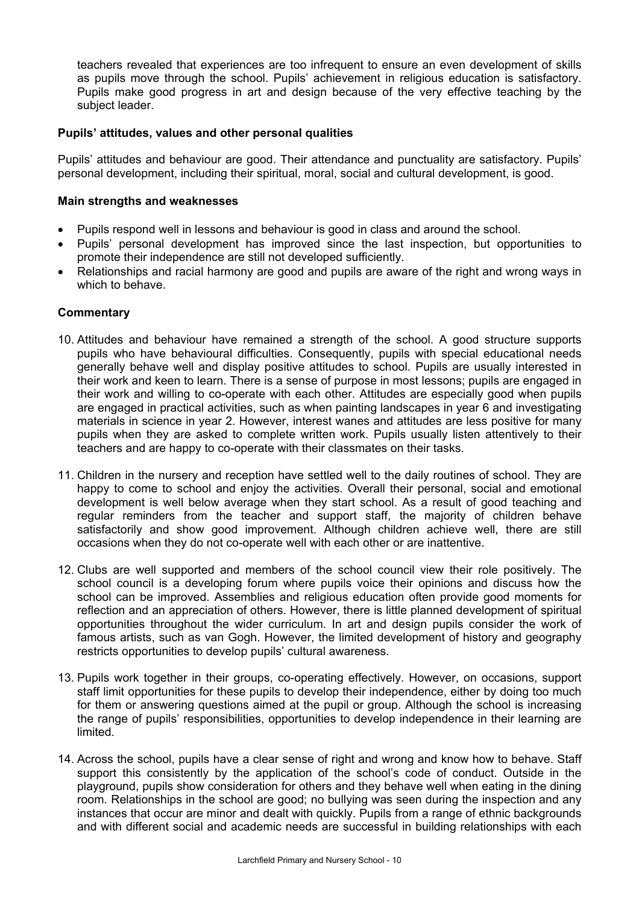teachers revealed that experiences are too infrequent to ensure an even development of skills as pupils move through the school. Pupils' achievement in religious education is satisfactory. Pupils make good progress in art and design because of the very effective teaching by the subject leader.

## **Pupils' attitudes, values and other personal qualities**

Pupils' attitudes and behaviour are good. Their attendance and punctuality are satisfactory. Pupils' personal development, including their spiritual, moral, social and cultural development, is good.

## **Main strengths and weaknesses**

- Pupils respond well in lessons and behaviour is good in class and around the school.
- Pupils' personal development has improved since the last inspection, but opportunities to promote their independence are still not developed sufficiently.
- Relationships and racial harmony are good and pupils are aware of the right and wrong ways in which to behave.

## **Commentary**

- 10. Attitudes and behaviour have remained a strength of the school. A good structure supports pupils who have behavioural difficulties. Consequently, pupils with special educational needs generally behave well and display positive attitudes to school. Pupils are usually interested in their work and keen to learn. There is a sense of purpose in most lessons; pupils are engaged in their work and willing to co-operate with each other. Attitudes are especially good when pupils are engaged in practical activities, such as when painting landscapes in year 6 and investigating materials in science in year 2. However, interest wanes and attitudes are less positive for many pupils when they are asked to complete written work. Pupils usually listen attentively to their teachers and are happy to co-operate with their classmates on their tasks.
- 11. Children in the nursery and reception have settled well to the daily routines of school. They are happy to come to school and enjoy the activities. Overall their personal, social and emotional development is well below average when they start school. As a result of good teaching and regular reminders from the teacher and support staff, the majority of children behave satisfactorily and show good improvement. Although children achieve well, there are still occasions when they do not co-operate well with each other or are inattentive.
- 12. Clubs are well supported and members of the school council view their role positively. The school council is a developing forum where pupils voice their opinions and discuss how the school can be improved. Assemblies and religious education often provide good moments for reflection and an appreciation of others. However, there is little planned development of spiritual opportunities throughout the wider curriculum. In art and design pupils consider the work of famous artists, such as van Gogh. However, the limited development of history and geography restricts opportunities to develop pupils' cultural awareness.
- 13. Pupils work together in their groups, co-operating effectively. However, on occasions, support staff limit opportunities for these pupils to develop their independence, either by doing too much for them or answering questions aimed at the pupil or group. Although the school is increasing the range of pupils' responsibilities, opportunities to develop independence in their learning are limited.
- 14. Across the school, pupils have a clear sense of right and wrong and know how to behave. Staff support this consistently by the application of the school's code of conduct. Outside in the playground, pupils show consideration for others and they behave well when eating in the dining room. Relationships in the school are good; no bullying was seen during the inspection and any instances that occur are minor and dealt with quickly. Pupils from a range of ethnic backgrounds and with different social and academic needs are successful in building relationships with each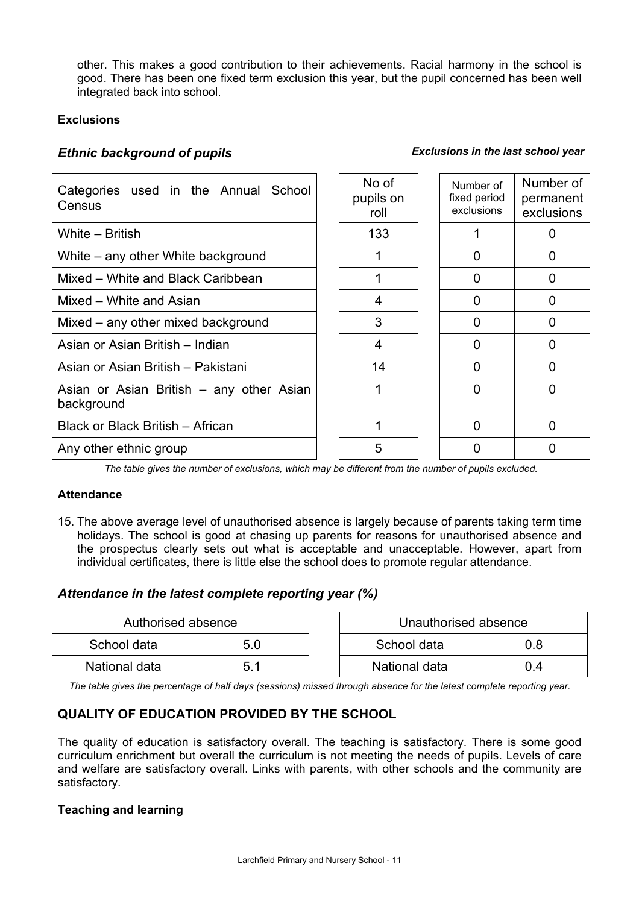other. This makes a good contribution to their achievements. Racial harmony in the school is good. There has been one fixed term exclusion this year, but the pupil concerned has been well integrated back into school.

## **Exclusions**

## *Ethnic background of pupils Exclusions in the last school year*

| Categories used in the Annual<br>School<br>Census      |  | No of<br>pupils on<br>roll | Number of<br>fixed period<br>exclusions | Number of<br>permanent<br>exclusions |
|--------------------------------------------------------|--|----------------------------|-----------------------------------------|--------------------------------------|
| White - British                                        |  | 133                        |                                         |                                      |
| White – any other White background                     |  |                            | 0                                       | 0                                    |
| Mixed – White and Black Caribbean                      |  |                            | 0                                       | O                                    |
| Mixed – White and Asian                                |  | 4                          | 0                                       | 0                                    |
| Mixed – any other mixed background                     |  | 3                          | $\Omega$                                |                                      |
| Asian or Asian British - Indian                        |  | 4                          | <sup>0</sup>                            | O                                    |
| Asian or Asian British – Pakistani                     |  | 14                         | $\Omega$                                | O                                    |
| Asian or Asian British – any other Asian<br>background |  |                            | ∩                                       |                                      |
| Black or Black British - African                       |  |                            | ∩                                       |                                      |
| Any other ethnic group                                 |  | 5                          | O                                       |                                      |

*The table gives the number of exclusions, which may be different from the number of pupils excluded.*

#### **Attendance**

15. The above average level of unauthorised absence is largely because of parents taking term time holidays. The school is good at chasing up parents for reasons for unauthorised absence and the prospectus clearly sets out what is acceptable and unacceptable. However, apart from individual certificates, there is little else the school does to promote regular attendance.

## *Attendance in the latest complete reporting year (%)*

| Authorised absence |     | Unauthorised absence |     |
|--------------------|-----|----------------------|-----|
| School data        | 5.0 | School data          |     |
| National data      |     | National data        | 0.4 |

*The table gives the percentage of half days (sessions) missed through absence for the latest complete reporting year.* 

## **QUALITY OF EDUCATION PROVIDED BY THE SCHOOL**

The quality of education is satisfactory overall. The teaching is satisfactory. There is some good curriculum enrichment but overall the curriculum is not meeting the needs of pupils. Levels of care and welfare are satisfactory overall. Links with parents, with other schools and the community are satisfactory.

## **Teaching and learning**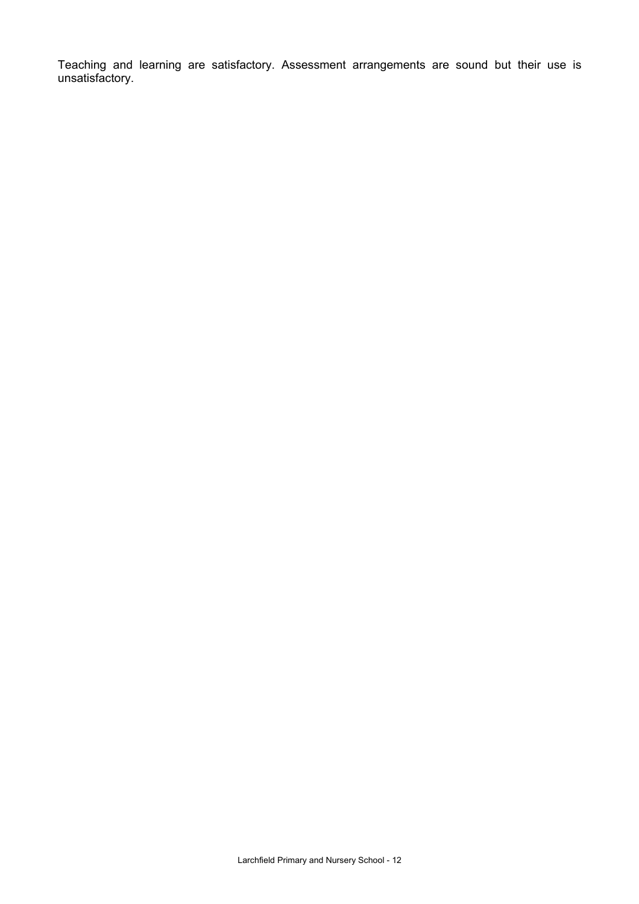Teaching and learning are satisfactory. Assessment arrangements are sound but their use is unsatisfactory.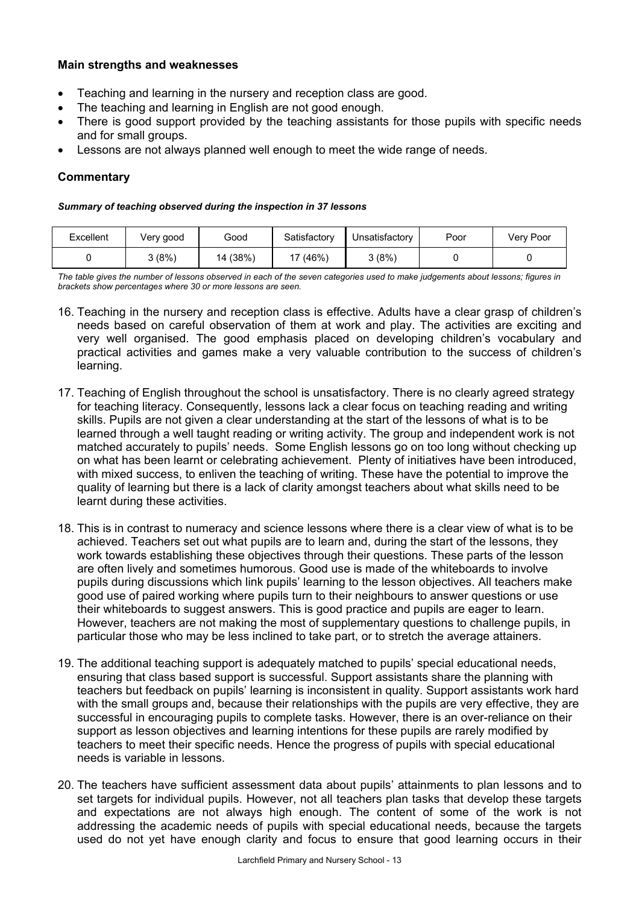## **Main strengths and weaknesses**

- Teaching and learning in the nursery and reception class are good.
- The teaching and learning in English are not good enough.
- There is good support provided by the teaching assistants for those pupils with specific needs and for small groups.
- Lessons are not always planned well enough to meet the wide range of needs.

## **Commentary**

#### *Summary of teaching observed during the inspection in 37 lessons*

| Excellent | Very good | Good     | Satisfactory | Unsatisfactory | Poor | Very Poor |
|-----------|-----------|----------|--------------|----------------|------|-----------|
|           | 3 (8%)    | 14 (38%) | 17 (46%)     | 3(8%)          |      |           |

*The table gives the number of lessons observed in each of the seven categories used to make judgements about lessons; figures in brackets show percentages where 30 or more lessons are seen.* 

- 16. Teaching in the nursery and reception class is effective. Adults have a clear grasp of children's needs based on careful observation of them at work and play. The activities are exciting and very well organised. The good emphasis placed on developing children's vocabulary and practical activities and games make a very valuable contribution to the success of children's learning.
- 17. Teaching of English throughout the school is unsatisfactory. There is no clearly agreed strategy for teaching literacy. Consequently, lessons lack a clear focus on teaching reading and writing skills. Pupils are not given a clear understanding at the start of the lessons of what is to be learned through a well taught reading or writing activity. The group and independent work is not matched accurately to pupils' needs. Some English lessons go on too long without checking up on what has been learnt or celebrating achievement. Plenty of initiatives have been introduced, with mixed success, to enliven the teaching of writing. These have the potential to improve the quality of learning but there is a lack of clarity amongst teachers about what skills need to be learnt during these activities.
- 18. This is in contrast to numeracy and science lessons where there is a clear view of what is to be achieved. Teachers set out what pupils are to learn and, during the start of the lessons, they work towards establishing these objectives through their questions. These parts of the lesson are often lively and sometimes humorous. Good use is made of the whiteboards to involve pupils during discussions which link pupils' learning to the lesson objectives. All teachers make good use of paired working where pupils turn to their neighbours to answer questions or use their whiteboards to suggest answers. This is good practice and pupils are eager to learn. However, teachers are not making the most of supplementary questions to challenge pupils, in particular those who may be less inclined to take part, or to stretch the average attainers.
- 19. The additional teaching support is adequately matched to pupils' special educational needs, ensuring that class based support is successful. Support assistants share the planning with teachers but feedback on pupils' learning is inconsistent in quality. Support assistants work hard with the small groups and, because their relationships with the pupils are very effective, they are successful in encouraging pupils to complete tasks. However, there is an over-reliance on their support as lesson objectives and learning intentions for these pupils are rarely modified by teachers to meet their specific needs. Hence the progress of pupils with special educational needs is variable in lessons.
- 20. The teachers have sufficient assessment data about pupils' attainments to plan lessons and to set targets for individual pupils. However, not all teachers plan tasks that develop these targets and expectations are not always high enough. The content of some of the work is not addressing the academic needs of pupils with special educational needs, because the targets used do not yet have enough clarity and focus to ensure that good learning occurs in their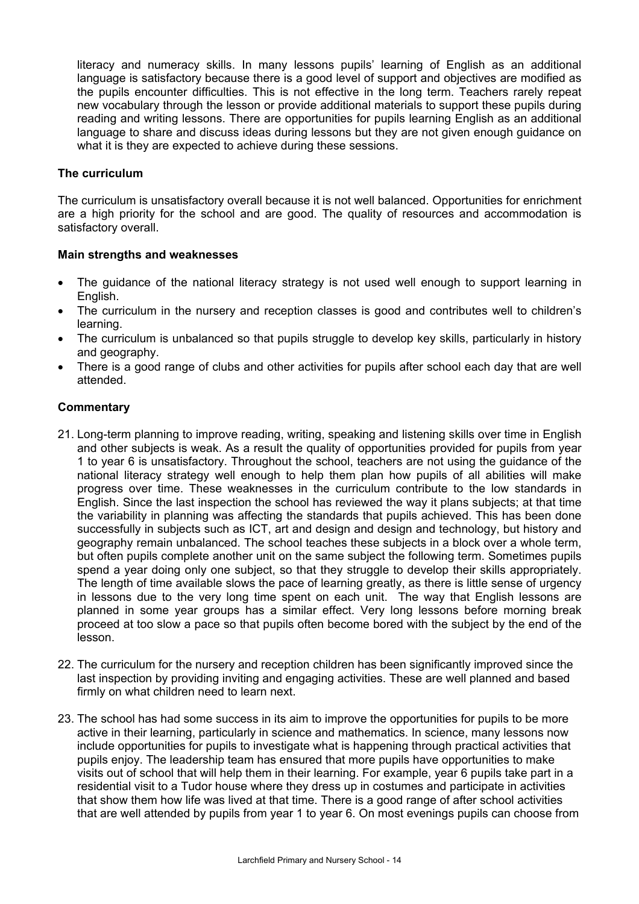literacy and numeracy skills. In many lessons pupils' learning of English as an additional language is satisfactory because there is a good level of support and objectives are modified as the pupils encounter difficulties. This is not effective in the long term. Teachers rarely repeat new vocabulary through the lesson or provide additional materials to support these pupils during reading and writing lessons. There are opportunities for pupils learning English as an additional language to share and discuss ideas during lessons but they are not given enough guidance on what it is they are expected to achieve during these sessions.

## **The curriculum**

The curriculum is unsatisfactory overall because it is not well balanced. Opportunities for enrichment are a high priority for the school and are good. The quality of resources and accommodation is satisfactory overall.

## **Main strengths and weaknesses**

- The guidance of the national literacy strategy is not used well enough to support learning in English.
- The curriculum in the nursery and reception classes is good and contributes well to children's learning.
- The curriculum is unbalanced so that pupils struggle to develop key skills, particularly in history and geography.
- There is a good range of clubs and other activities for pupils after school each day that are well attended.

## **Commentary**

- 21. Long-term planning to improve reading, writing, speaking and listening skills over time in English and other subjects is weak. As a result the quality of opportunities provided for pupils from year 1 to year 6 is unsatisfactory. Throughout the school, teachers are not using the guidance of the national literacy strategy well enough to help them plan how pupils of all abilities will make progress over time. These weaknesses in the curriculum contribute to the low standards in English. Since the last inspection the school has reviewed the way it plans subjects; at that time the variability in planning was affecting the standards that pupils achieved. This has been done successfully in subjects such as ICT, art and design and design and technology, but history and geography remain unbalanced. The school teaches these subjects in a block over a whole term, but often pupils complete another unit on the same subject the following term. Sometimes pupils spend a year doing only one subject, so that they struggle to develop their skills appropriately. The length of time available slows the pace of learning greatly, as there is little sense of urgency in lessons due to the very long time spent on each unit. The way that English lessons are planned in some year groups has a similar effect. Very long lessons before morning break proceed at too slow a pace so that pupils often become bored with the subject by the end of the lesson.
- 22. The curriculum for the nursery and reception children has been significantly improved since the last inspection by providing inviting and engaging activities. These are well planned and based firmly on what children need to learn next.
- 23. The school has had some success in its aim to improve the opportunities for pupils to be more active in their learning, particularly in science and mathematics. In science, many lessons now include opportunities for pupils to investigate what is happening through practical activities that pupils enjoy. The leadership team has ensured that more pupils have opportunities to make visits out of school that will help them in their learning. For example, year 6 pupils take part in a residential visit to a Tudor house where they dress up in costumes and participate in activities that show them how life was lived at that time. There is a good range of after school activities that are well attended by pupils from year 1 to year 6. On most evenings pupils can choose from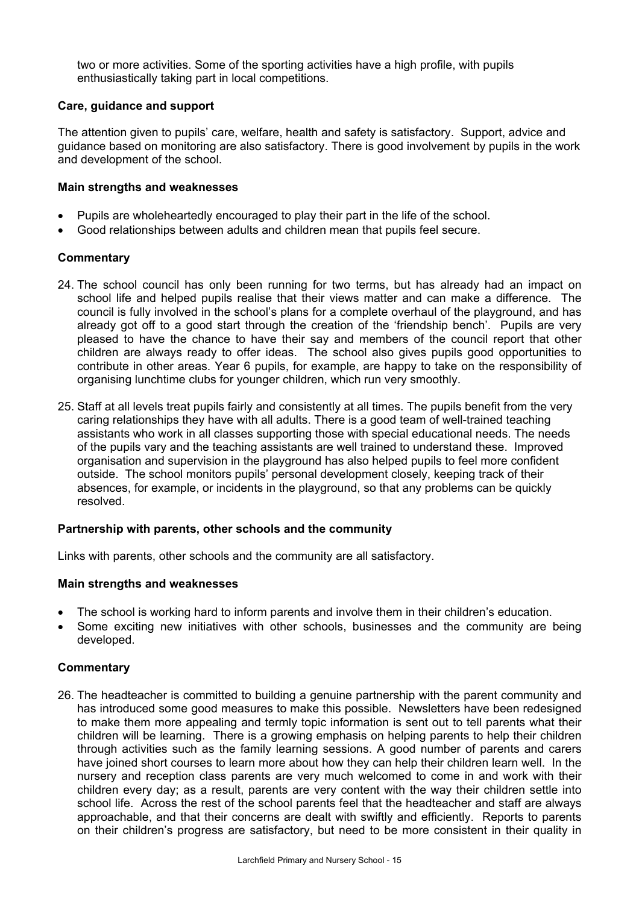two or more activities. Some of the sporting activities have a high profile, with pupils enthusiastically taking part in local competitions.

## **Care, guidance and support**

The attention given to pupils' care, welfare, health and safety is satisfactory. Support, advice and guidance based on monitoring are also satisfactory. There is good involvement by pupils in the work and development of the school.

## **Main strengths and weaknesses**

- Pupils are wholeheartedly encouraged to play their part in the life of the school.
- Good relationships between adults and children mean that pupils feel secure.

## **Commentary**

- 24. The school council has only been running for two terms, but has already had an impact on school life and helped pupils realise that their views matter and can make a difference. The council is fully involved in the school's plans for a complete overhaul of the playground, and has already got off to a good start through the creation of the 'friendship bench'. Pupils are very pleased to have the chance to have their say and members of the council report that other children are always ready to offer ideas. The school also gives pupils good opportunities to contribute in other areas. Year 6 pupils, for example, are happy to take on the responsibility of organising lunchtime clubs for younger children, which run very smoothly.
- 25. Staff at all levels treat pupils fairly and consistently at all times. The pupils benefit from the very caring relationships they have with all adults. There is a good team of well-trained teaching assistants who work in all classes supporting those with special educational needs. The needs of the pupils vary and the teaching assistants are well trained to understand these. Improved organisation and supervision in the playground has also helped pupils to feel more confident outside. The school monitors pupils' personal development closely, keeping track of their absences, for example, or incidents in the playground, so that any problems can be quickly resolved.

#### **Partnership with parents, other schools and the community**

Links with parents, other schools and the community are all satisfactory.

#### **Main strengths and weaknesses**

- The school is working hard to inform parents and involve them in their children's education.
- Some exciting new initiatives with other schools, businesses and the community are being developed.

## **Commentary**

26. The headteacher is committed to building a genuine partnership with the parent community and has introduced some good measures to make this possible. Newsletters have been redesigned to make them more appealing and termly topic information is sent out to tell parents what their children will be learning. There is a growing emphasis on helping parents to help their children through activities such as the family learning sessions. A good number of parents and carers have joined short courses to learn more about how they can help their children learn well. In the nursery and reception class parents are very much welcomed to come in and work with their children every day; as a result, parents are very content with the way their children settle into school life. Across the rest of the school parents feel that the headteacher and staff are always approachable, and that their concerns are dealt with swiftly and efficiently. Reports to parents on their children's progress are satisfactory, but need to be more consistent in their quality in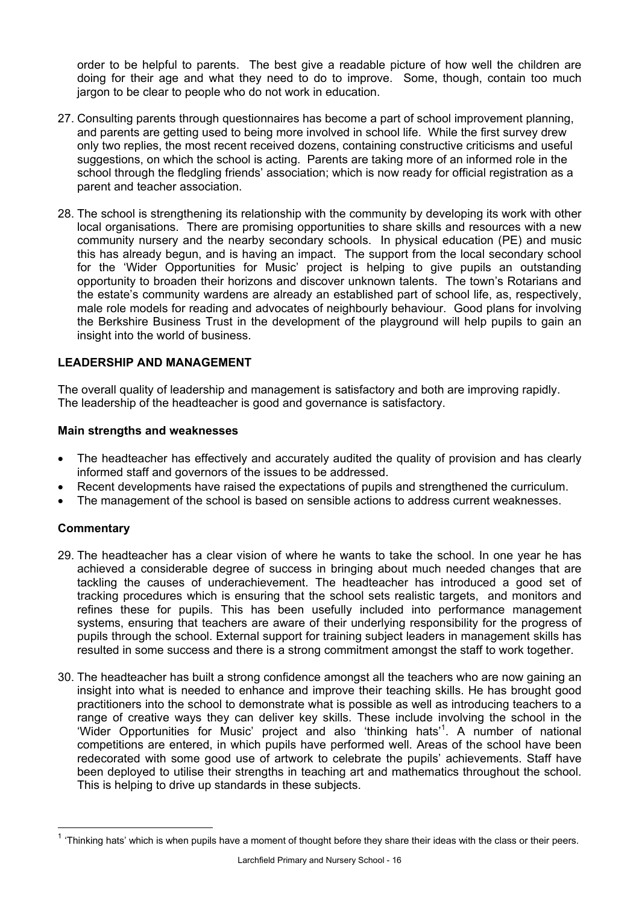order to be helpful to parents. The best give a readable picture of how well the children are doing for their age and what they need to do to improve. Some, though, contain too much jargon to be clear to people who do not work in education.

- 27. Consulting parents through questionnaires has become a part of school improvement planning, and parents are getting used to being more involved in school life. While the first survey drew only two replies, the most recent received dozens, containing constructive criticisms and useful suggestions, on which the school is acting. Parents are taking more of an informed role in the school through the fledgling friends' association; which is now ready for official registration as a parent and teacher association.
- 28. The school is strengthening its relationship with the community by developing its work with other local organisations. There are promising opportunities to share skills and resources with a new community nursery and the nearby secondary schools. In physical education (PE) and music this has already begun, and is having an impact. The support from the local secondary school for the 'Wider Opportunities for Music' project is helping to give pupils an outstanding opportunity to broaden their horizons and discover unknown talents. The town's Rotarians and the estate's community wardens are already an established part of school life, as, respectively, male role models for reading and advocates of neighbourly behaviour. Good plans for involving the Berkshire Business Trust in the development of the playground will help pupils to gain an insight into the world of business.

## **LEADERSHIP AND MANAGEMENT**

The overall quality of leadership and management is satisfactory and both are improving rapidly. The leadership of the headteacher is good and governance is satisfactory.

## **Main strengths and weaknesses**

- The headteacher has effectively and accurately audited the quality of provision and has clearly informed staff and governors of the issues to be addressed.
- Recent developments have raised the expectations of pupils and strengthened the curriculum.
- The management of the school is based on sensible actions to address current weaknesses.

## **Commentary**

l

- 29. The headteacher has a clear vision of where he wants to take the school. In one year he has achieved a considerable degree of success in bringing about much needed changes that are tackling the causes of underachievement. The headteacher has introduced a good set of tracking procedures which is ensuring that the school sets realistic targets, and monitors and refines these for pupils. This has been usefully included into performance management systems, ensuring that teachers are aware of their underlying responsibility for the progress of pupils through the school. External support for training subject leaders in management skills has resulted in some success and there is a strong commitment amongst the staff to work together.
- 30. The headteacher has built a strong confidence amongst all the teachers who are now gaining an insight into what is needed to enhance and improve their teaching skills. He has brought good practitioners into the school to demonstrate what is possible as well as introducing teachers to a range of creative ways they can deliver key skills. These include involving the school in the 'Wider Opportunities for Music' project and also 'thinking hats'<sup>1</sup>. A number of national competitions are entered, in which pupils have performed well. Areas of the school have been redecorated with some good use of artwork to celebrate the pupils' achievements. Staff have been deployed to utilise their strengths in teaching art and mathematics throughout the school. This is helping to drive up standards in these subjects.

<sup>1</sup> 'Thinking hats' which is when pupils have a moment of thought before they share their ideas with the class or their peers.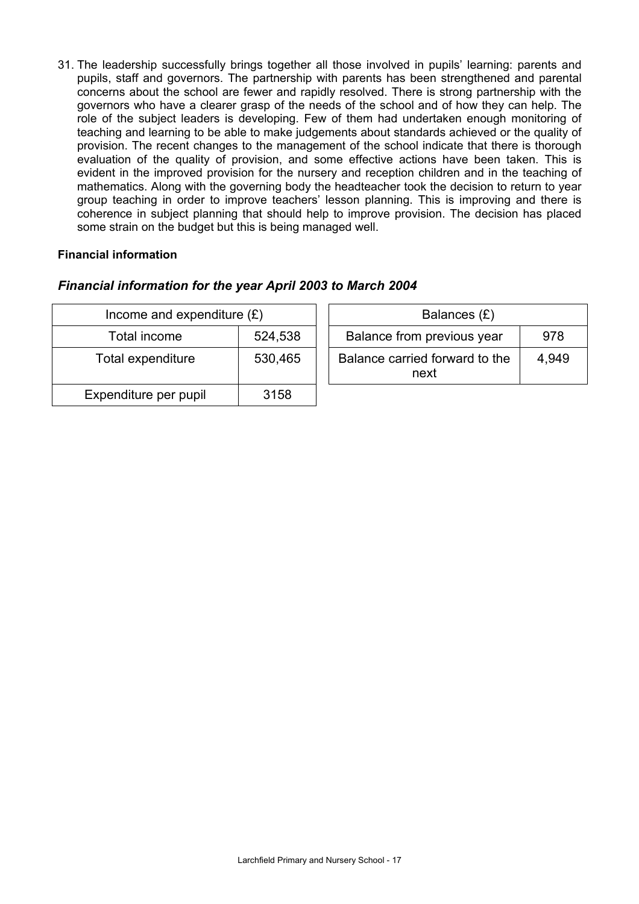31. The leadership successfully brings together all those involved in pupils' learning: parents and pupils, staff and governors. The partnership with parents has been strengthened and parental concerns about the school are fewer and rapidly resolved. There is strong partnership with the governors who have a clearer grasp of the needs of the school and of how they can help. The role of the subject leaders is developing. Few of them had undertaken enough monitoring of teaching and learning to be able to make judgements about standards achieved or the quality of provision. The recent changes to the management of the school indicate that there is thorough evaluation of the quality of provision, and some effective actions have been taken. This is evident in the improved provision for the nursery and reception children and in the teaching of mathematics. Along with the governing body the headteacher took the decision to return to year group teaching in order to improve teachers' lesson planning. This is improving and there is coherence in subject planning that should help to improve provision. The decision has placed some strain on the budget but this is being managed well.

## **Financial information**

## *Financial information for the year April 2003 to March 2004*

| Income and expenditure $(E)$ |         | Balances (£)                                    |
|------------------------------|---------|-------------------------------------------------|
| Total income                 | 524,538 | Balance from previous year<br>978               |
| Total expenditure            | 530,465 | Balance carried forward to the<br>4,949<br>next |
| Expenditure per pupil        | 3158    |                                                 |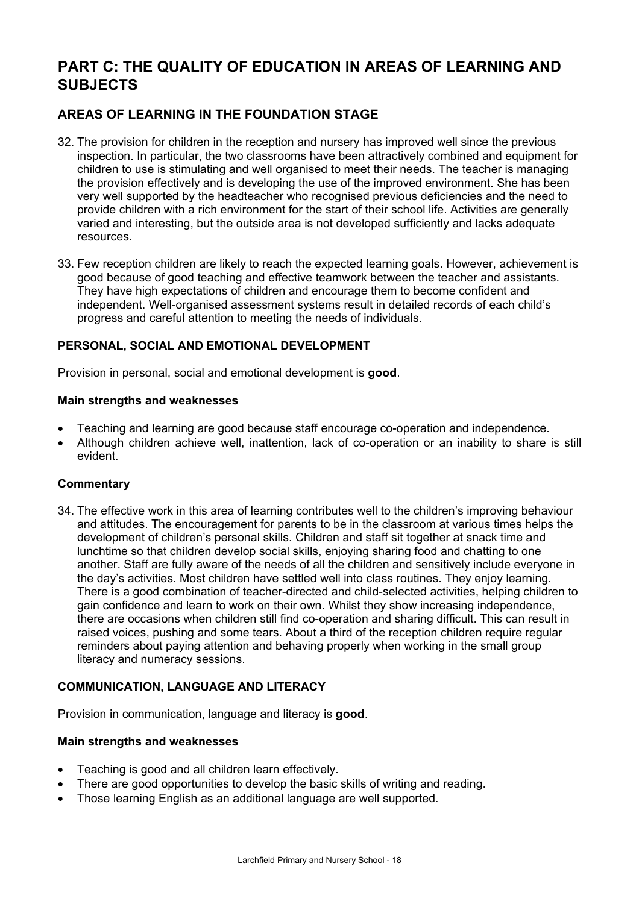# **PART C: THE QUALITY OF EDUCATION IN AREAS OF LEARNING AND SUBJECTS**

## **AREAS OF LEARNING IN THE FOUNDATION STAGE**

- 32. The provision for children in the reception and nursery has improved well since the previous inspection. In particular, the two classrooms have been attractively combined and equipment for children to use is stimulating and well organised to meet their needs. The teacher is managing the provision effectively and is developing the use of the improved environment. She has been very well supported by the headteacher who recognised previous deficiencies and the need to provide children with a rich environment for the start of their school life. Activities are generally varied and interesting, but the outside area is not developed sufficiently and lacks adequate resources.
- 33. Few reception children are likely to reach the expected learning goals. However, achievement is good because of good teaching and effective teamwork between the teacher and assistants. They have high expectations of children and encourage them to become confident and independent. Well-organised assessment systems result in detailed records of each child's progress and careful attention to meeting the needs of individuals.

## **PERSONAL, SOCIAL AND EMOTIONAL DEVELOPMENT**

Provision in personal, social and emotional development is **good**.

## **Main strengths and weaknesses**

- Teaching and learning are good because staff encourage co-operation and independence.
- Although children achieve well, inattention, lack of co-operation or an inability to share is still evident.

## **Commentary**

34. The effective work in this area of learning contributes well to the children's improving behaviour and attitudes. The encouragement for parents to be in the classroom at various times helps the development of children's personal skills. Children and staff sit together at snack time and lunchtime so that children develop social skills, enjoying sharing food and chatting to one another. Staff are fully aware of the needs of all the children and sensitively include everyone in the day's activities. Most children have settled well into class routines. They enjoy learning. There is a good combination of teacher-directed and child-selected activities, helping children to gain confidence and learn to work on their own. Whilst they show increasing independence, there are occasions when children still find co-operation and sharing difficult. This can result in raised voices, pushing and some tears. About a third of the reception children require regular reminders about paying attention and behaving properly when working in the small group literacy and numeracy sessions.

## **COMMUNICATION, LANGUAGE AND LITERACY**

Provision in communication, language and literacy is **good**.

#### **Main strengths and weaknesses**

- Teaching is good and all children learn effectively.
- There are good opportunities to develop the basic skills of writing and reading.
- Those learning English as an additional language are well supported.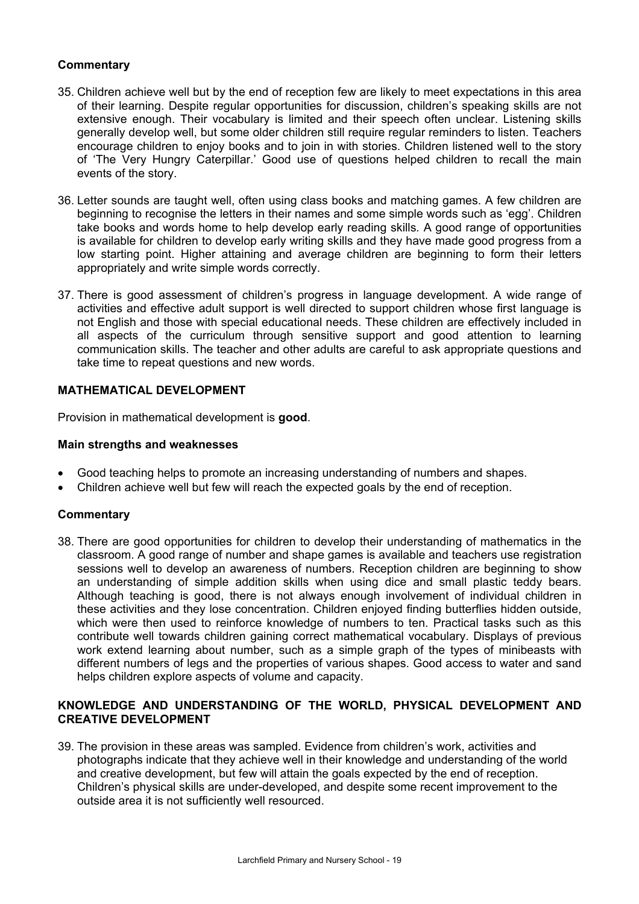## **Commentary**

- 35. Children achieve well but by the end of reception few are likely to meet expectations in this area of their learning. Despite regular opportunities for discussion, children's speaking skills are not extensive enough. Their vocabulary is limited and their speech often unclear. Listening skills generally develop well, but some older children still require regular reminders to listen. Teachers encourage children to enjoy books and to join in with stories. Children listened well to the story of 'The Very Hungry Caterpillar.' Good use of questions helped children to recall the main events of the story.
- 36. Letter sounds are taught well, often using class books and matching games. A few children are beginning to recognise the letters in their names and some simple words such as 'egg'. Children take books and words home to help develop early reading skills*.* A good range of opportunities is available for children to develop early writing skills and they have made good progress from a low starting point. Higher attaining and average children are beginning to form their letters appropriately and write simple words correctly.
- 37. There is good assessment of children's progress in language development. A wide range of activities and effective adult support is well directed to support children whose first language is not English and those with special educational needs. These children are effectively included in all aspects of the curriculum through sensitive support and good attention to learning communication skills. The teacher and other adults are careful to ask appropriate questions and take time to repeat questions and new words.

## **MATHEMATICAL DEVELOPMENT**

Provision in mathematical development is **good**.

## **Main strengths and weaknesses**

- Good teaching helps to promote an increasing understanding of numbers and shapes.
- Children achieve well but few will reach the expected goals by the end of reception.

## **Commentary**

38. There are good opportunities for children to develop their understanding of mathematics in the classroom. A good range of number and shape games is available and teachers use registration sessions well to develop an awareness of numbers. Reception children are beginning to show an understanding of simple addition skills when using dice and small plastic teddy bears. Although teaching is good, there is not always enough involvement of individual children in these activities and they lose concentration. Children enjoyed finding butterflies hidden outside, which were then used to reinforce knowledge of numbers to ten. Practical tasks such as this contribute well towards children gaining correct mathematical vocabulary. Displays of previous work extend learning about number, such as a simple graph of the types of minibeasts with different numbers of legs and the properties of various shapes. Good access to water and sand helps children explore aspects of volume and capacity.

## **KNOWLEDGE AND UNDERSTANDING OF THE WORLD, PHYSICAL DEVELOPMENT AND CREATIVE DEVELOPMENT**

39. The provision in these areas was sampled. Evidence from children's work, activities and photographs indicate that they achieve well in their knowledge and understanding of the world and creative development, but few will attain the goals expected by the end of reception. Children's physical skills are under-developed, and despite some recent improvement to the outside area it is not sufficiently well resourced.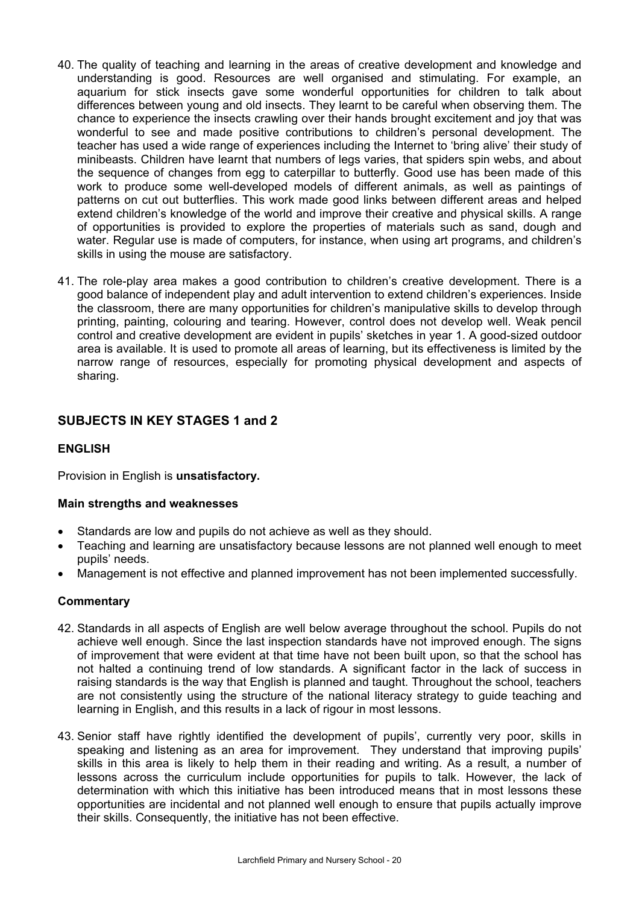- 40. The quality of teaching and learning in the areas of creative development and knowledge and understanding is good. Resources are well organised and stimulating. For example, an aquarium for stick insects gave some wonderful opportunities for children to talk about differences between young and old insects. They learnt to be careful when observing them. The chance to experience the insects crawling over their hands brought excitement and joy that was wonderful to see and made positive contributions to children's personal development. The teacher has used a wide range of experiences including the Internet to 'bring alive' their study of minibeasts. Children have learnt that numbers of legs varies, that spiders spin webs, and about the sequence of changes from egg to caterpillar to butterfly. Good use has been made of this work to produce some well-developed models of different animals, as well as paintings of patterns on cut out butterflies. This work made good links between different areas and helped extend children's knowledge of the world and improve their creative and physical skills. A range of opportunities is provided to explore the properties of materials such as sand, dough and water. Regular use is made of computers, for instance, when using art programs, and children's skills in using the mouse are satisfactory.
- 41. The role-play area makes a good contribution to children's creative development. There is a good balance of independent play and adult intervention to extend children's experiences. Inside the classroom, there are many opportunities for children's manipulative skills to develop through printing, painting, colouring and tearing. However, control does not develop well. Weak pencil control and creative development are evident in pupils' sketches in year 1. A good-sized outdoor area is available. It is used to promote all areas of learning, but its effectiveness is limited by the narrow range of resources, especially for promoting physical development and aspects of sharing.

## **SUBJECTS IN KEY STAGES 1 and 2**

## **ENGLISH**

Provision in English is **unsatisfactory.** 

## **Main strengths and weaknesses**

- Standards are low and pupils do not achieve as well as they should.
- Teaching and learning are unsatisfactory because lessons are not planned well enough to meet pupils' needs.
- Management is not effective and planned improvement has not been implemented successfully.

## **Commentary**

- 42. Standards in all aspects of English are well below average throughout the school. Pupils do not achieve well enough. Since the last inspection standards have not improved enough. The signs of improvement that were evident at that time have not been built upon, so that the school has not halted a continuing trend of low standards. A significant factor in the lack of success in raising standards is the way that English is planned and taught. Throughout the school, teachers are not consistently using the structure of the national literacy strategy to guide teaching and learning in English, and this results in a lack of rigour in most lessons.
- 43. Senior staff have rightly identified the development of pupils', currently very poor, skills in speaking and listening as an area for improvement. They understand that improving pupils' skills in this area is likely to help them in their reading and writing. As a result, a number of lessons across the curriculum include opportunities for pupils to talk. However, the lack of determination with which this initiative has been introduced means that in most lessons these opportunities are incidental and not planned well enough to ensure that pupils actually improve their skills. Consequently, the initiative has not been effective.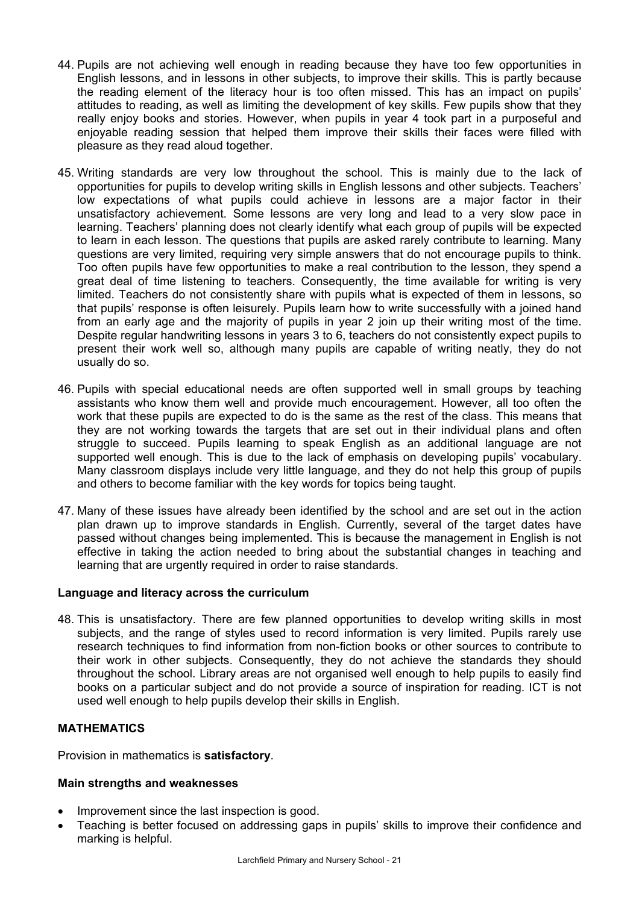- 44. Pupils are not achieving well enough in reading because they have too few opportunities in English lessons, and in lessons in other subjects, to improve their skills. This is partly because the reading element of the literacy hour is too often missed. This has an impact on pupils' attitudes to reading, as well as limiting the development of key skills. Few pupils show that they really enjoy books and stories. However, when pupils in year 4 took part in a purposeful and enjoyable reading session that helped them improve their skills their faces were filled with pleasure as they read aloud together.
- 45. Writing standards are very low throughout the school. This is mainly due to the lack of opportunities for pupils to develop writing skills in English lessons and other subjects. Teachers' low expectations of what pupils could achieve in lessons are a major factor in their unsatisfactory achievement. Some lessons are very long and lead to a very slow pace in learning. Teachers' planning does not clearly identify what each group of pupils will be expected to learn in each lesson. The questions that pupils are asked rarely contribute to learning. Many questions are very limited, requiring very simple answers that do not encourage pupils to think. Too often pupils have few opportunities to make a real contribution to the lesson, they spend a great deal of time listening to teachers. Consequently, the time available for writing is very limited. Teachers do not consistently share with pupils what is expected of them in lessons, so that pupils' response is often leisurely. Pupils learn how to write successfully with a joined hand from an early age and the majority of pupils in year 2 join up their writing most of the time. Despite regular handwriting lessons in years 3 to 6, teachers do not consistently expect pupils to present their work well so, although many pupils are capable of writing neatly, they do not usually do so.
- 46. Pupils with special educational needs are often supported well in small groups by teaching assistants who know them well and provide much encouragement. However, all too often the work that these pupils are expected to do is the same as the rest of the class. This means that they are not working towards the targets that are set out in their individual plans and often struggle to succeed. Pupils learning to speak English as an additional language are not supported well enough. This is due to the lack of emphasis on developing pupils' vocabulary. Many classroom displays include very little language, and they do not help this group of pupils and others to become familiar with the key words for topics being taught.
- 47. Many of these issues have already been identified by the school and are set out in the action plan drawn up to improve standards in English. Currently, several of the target dates have passed without changes being implemented. This is because the management in English is not effective in taking the action needed to bring about the substantial changes in teaching and learning that are urgently required in order to raise standards.

## **Language and literacy across the curriculum**

48. This is unsatisfactory. There are few planned opportunities to develop writing skills in most subjects, and the range of styles used to record information is very limited. Pupils rarely use research techniques to find information from non-fiction books or other sources to contribute to their work in other subjects. Consequently, they do not achieve the standards they should throughout the school. Library areas are not organised well enough to help pupils to easily find books on a particular subject and do not provide a source of inspiration for reading. ICT is not used well enough to help pupils develop their skills in English.

## **MATHEMATICS**

Provision in mathematics is **satisfactory**.

#### **Main strengths and weaknesses**

- Improvement since the last inspection is good.
- Teaching is better focused on addressing gaps in pupils' skills to improve their confidence and marking is helpful.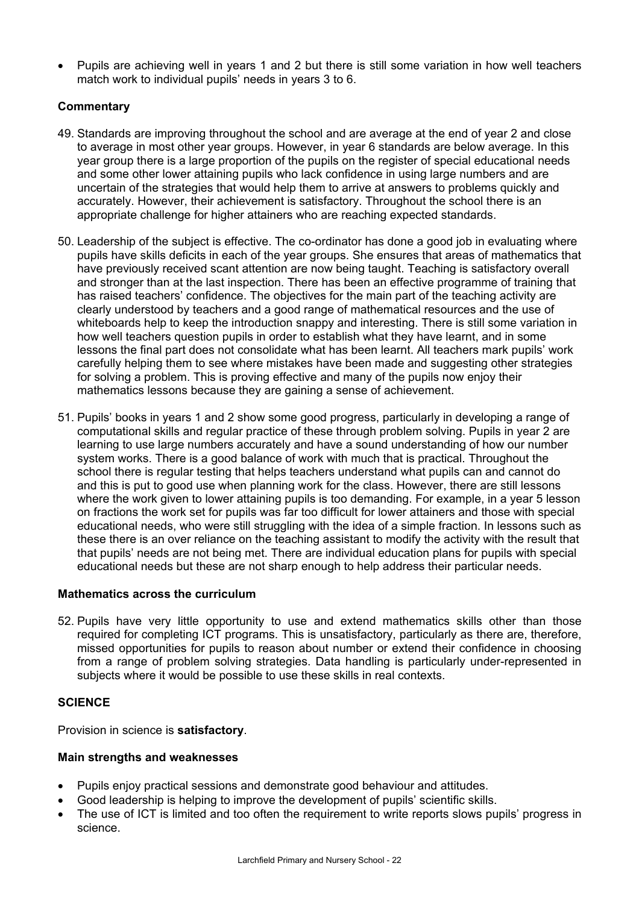• Pupils are achieving well in years 1 and 2 but there is still some variation in how well teachers match work to individual pupils' needs in years 3 to 6.

## **Commentary**

- 49. Standards are improving throughout the school and are average at the end of year 2 and close to average in most other year groups. However, in year 6 standards are below average. In this year group there is a large proportion of the pupils on the register of special educational needs and some other lower attaining pupils who lack confidence in using large numbers and are uncertain of the strategies that would help them to arrive at answers to problems quickly and accurately. However, their achievement is satisfactory. Throughout the school there is an appropriate challenge for higher attainers who are reaching expected standards.
- 50. Leadership of the subject is effective. The co-ordinator has done a good job in evaluating where pupils have skills deficits in each of the year groups. She ensures that areas of mathematics that have previously received scant attention are now being taught. Teaching is satisfactory overall and stronger than at the last inspection. There has been an effective programme of training that has raised teachers' confidence. The objectives for the main part of the teaching activity are clearly understood by teachers and a good range of mathematical resources and the use of whiteboards help to keep the introduction snappy and interesting. There is still some variation in how well teachers question pupils in order to establish what they have learnt, and in some lessons the final part does not consolidate what has been learnt. All teachers mark pupils' work carefully helping them to see where mistakes have been made and suggesting other strategies for solving a problem. This is proving effective and many of the pupils now enjoy their mathematics lessons because they are gaining a sense of achievement.
- 51. Pupils' books in years 1 and 2 show some good progress, particularly in developing a range of computational skills and regular practice of these through problem solving. Pupils in year 2 are learning to use large numbers accurately and have a sound understanding of how our number system works. There is a good balance of work with much that is practical. Throughout the school there is regular testing that helps teachers understand what pupils can and cannot do and this is put to good use when planning work for the class. However, there are still lessons where the work given to lower attaining pupils is too demanding. For example, in a year 5 lesson on fractions the work set for pupils was far too difficult for lower attainers and those with special educational needs, who were still struggling with the idea of a simple fraction. In lessons such as these there is an over reliance on the teaching assistant to modify the activity with the result that that pupils' needs are not being met. There are individual education plans for pupils with special educational needs but these are not sharp enough to help address their particular needs.

## **Mathematics across the curriculum**

52. Pupils have very little opportunity to use and extend mathematics skills other than those required for completing ICT programs. This is unsatisfactory, particularly as there are, therefore, missed opportunities for pupils to reason about number or extend their confidence in choosing from a range of problem solving strategies. Data handling is particularly under-represented in subjects where it would be possible to use these skills in real contexts.

## **SCIENCE**

Provision in science is **satisfactory**.

## **Main strengths and weaknesses**

- Pupils enjoy practical sessions and demonstrate good behaviour and attitudes.
- Good leadership is helping to improve the development of pupils' scientific skills.
- The use of ICT is limited and too often the requirement to write reports slows pupils' progress in science.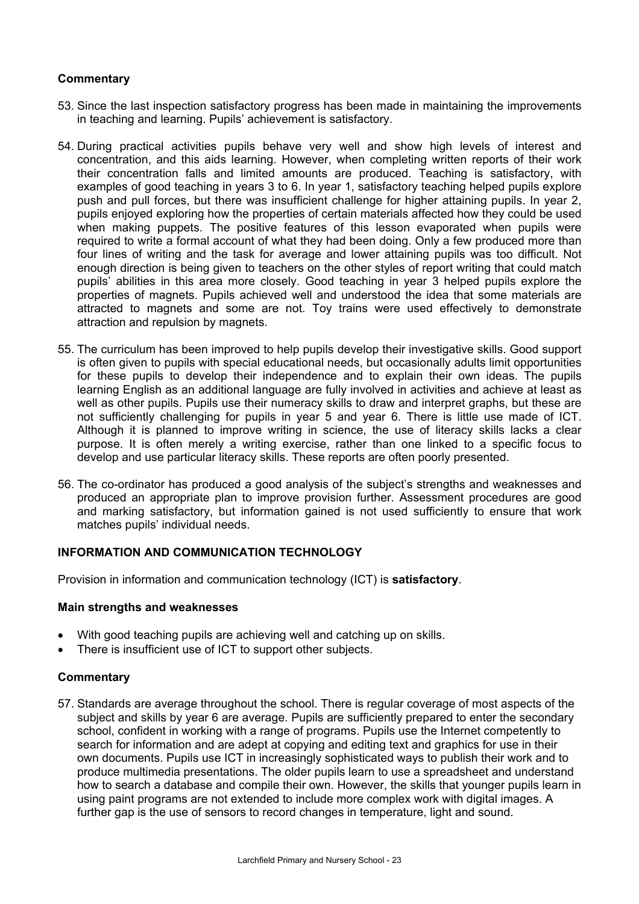## **Commentary**

- 53. Since the last inspection satisfactory progress has been made in maintaining the improvements in teaching and learning. Pupils' achievement is satisfactory.
- 54. During practical activities pupils behave very well and show high levels of interest and concentration, and this aids learning. However, when completing written reports of their work their concentration falls and limited amounts are produced. Teaching is satisfactory, with examples of good teaching in years 3 to 6. In year 1, satisfactory teaching helped pupils explore push and pull forces, but there was insufficient challenge for higher attaining pupils. In year 2, pupils enjoyed exploring how the properties of certain materials affected how they could be used when making puppets. The positive features of this lesson evaporated when pupils were required to write a formal account of what they had been doing. Only a few produced more than four lines of writing and the task for average and lower attaining pupils was too difficult. Not enough direction is being given to teachers on the other styles of report writing that could match pupils' abilities in this area more closely. Good teaching in year 3 helped pupils explore the properties of magnets. Pupils achieved well and understood the idea that some materials are attracted to magnets and some are not. Toy trains were used effectively to demonstrate attraction and repulsion by magnets.
- 55. The curriculum has been improved to help pupils develop their investigative skills. Good support is often given to pupils with special educational needs, but occasionally adults limit opportunities for these pupils to develop their independence and to explain their own ideas. The pupils learning English as an additional language are fully involved in activities and achieve at least as well as other pupils. Pupils use their numeracy skills to draw and interpret graphs, but these are not sufficiently challenging for pupils in year 5 and year 6. There is little use made of ICT. Although it is planned to improve writing in science, the use of literacy skills lacks a clear purpose. It is often merely a writing exercise, rather than one linked to a specific focus to develop and use particular literacy skills. These reports are often poorly presented.
- 56. The co-ordinator has produced a good analysis of the subject's strengths and weaknesses and produced an appropriate plan to improve provision further. Assessment procedures are good and marking satisfactory, but information gained is not used sufficiently to ensure that work matches pupils' individual needs.

## **INFORMATION AND COMMUNICATION TECHNOLOGY**

Provision in information and communication technology (ICT) is **satisfactory**.

#### **Main strengths and weaknesses**

- With good teaching pupils are achieving well and catching up on skills.
- There is insufficient use of ICT to support other subjects.

## **Commentary**

57. Standards are average throughout the school. There is regular coverage of most aspects of the subject and skills by year 6 are average. Pupils are sufficiently prepared to enter the secondary school, confident in working with a range of programs. Pupils use the Internet competently to search for information and are adept at copying and editing text and graphics for use in their own documents. Pupils use ICT in increasingly sophisticated ways to publish their work and to produce multimedia presentations. The older pupils learn to use a spreadsheet and understand how to search a database and compile their own. However, the skills that younger pupils learn in using paint programs are not extended to include more complex work with digital images. A further gap is the use of sensors to record changes in temperature, light and sound.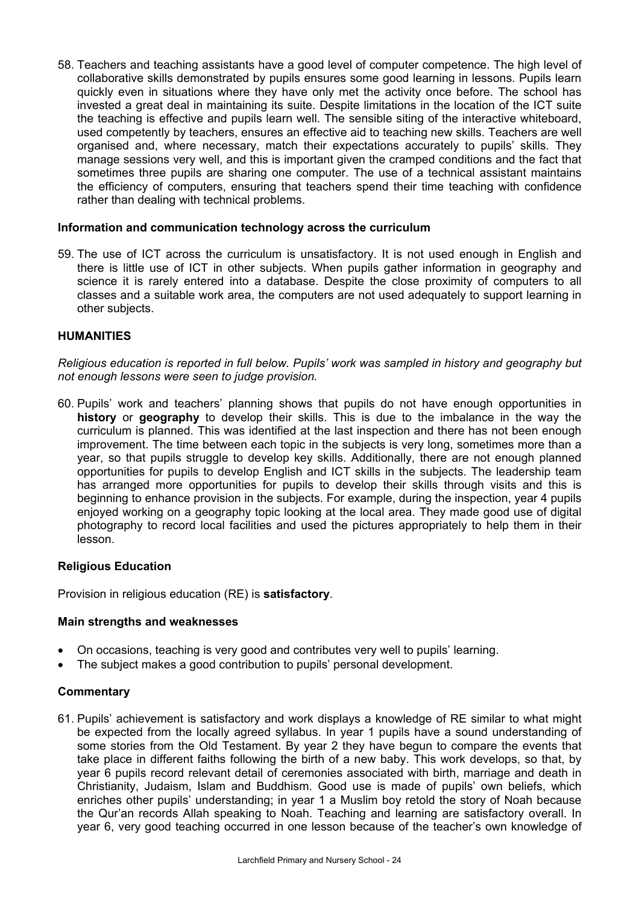58. Teachers and teaching assistants have a good level of computer competence. The high level of collaborative skills demonstrated by pupils ensures some good learning in lessons. Pupils learn quickly even in situations where they have only met the activity once before. The school has invested a great deal in maintaining its suite. Despite limitations in the location of the ICT suite the teaching is effective and pupils learn well. The sensible siting of the interactive whiteboard, used competently by teachers, ensures an effective aid to teaching new skills. Teachers are well organised and, where necessary, match their expectations accurately to pupils' skills. They manage sessions very well, and this is important given the cramped conditions and the fact that sometimes three pupils are sharing one computer. The use of a technical assistant maintains the efficiency of computers, ensuring that teachers spend their time teaching with confidence rather than dealing with technical problems.

## **Information and communication technology across the curriculum**

59. The use of ICT across the curriculum is unsatisfactory. It is not used enough in English and there is little use of ICT in other subjects. When pupils gather information in geography and science it is rarely entered into a database. Despite the close proximity of computers to all classes and a suitable work area, the computers are not used adequately to support learning in other subjects.

## **HUMANITIES**

*Religious education is reported in full below. Pupils' work was sampled in history and geography but not enough lessons were seen to judge provision.*

60. Pupils' work and teachers' planning shows that pupils do not have enough opportunities in **history** or **geography** to develop their skills. This is due to the imbalance in the way the curriculum is planned. This was identified at the last inspection and there has not been enough improvement. The time between each topic in the subjects is very long, sometimes more than a year, so that pupils struggle to develop key skills. Additionally, there are not enough planned opportunities for pupils to develop English and ICT skills in the subjects. The leadership team has arranged more opportunities for pupils to develop their skills through visits and this is beginning to enhance provision in the subjects. For example, during the inspection, year 4 pupils enjoyed working on a geography topic looking at the local area. They made good use of digital photography to record local facilities and used the pictures appropriately to help them in their lesson.

#### **Religious Education**

Provision in religious education (RE) is **satisfactory**.

#### **Main strengths and weaknesses**

- On occasions, teaching is very good and contributes very well to pupils' learning.
- The subject makes a good contribution to pupils' personal development.

#### **Commentary**

61. Pupils' achievement is satisfactory and work displays a knowledge of RE similar to what might be expected from the locally agreed syllabus. In year 1 pupils have a sound understanding of some stories from the Old Testament. By year 2 they have begun to compare the events that take place in different faiths following the birth of a new baby. This work develops, so that, by year 6 pupils record relevant detail of ceremonies associated with birth, marriage and death in Christianity, Judaism, Islam and Buddhism. Good use is made of pupils' own beliefs, which enriches other pupils' understanding; in year 1 a Muslim boy retold the story of Noah because the Qur'an records Allah speaking to Noah. Teaching and learning are satisfactory overall. In year 6, very good teaching occurred in one lesson because of the teacher's own knowledge of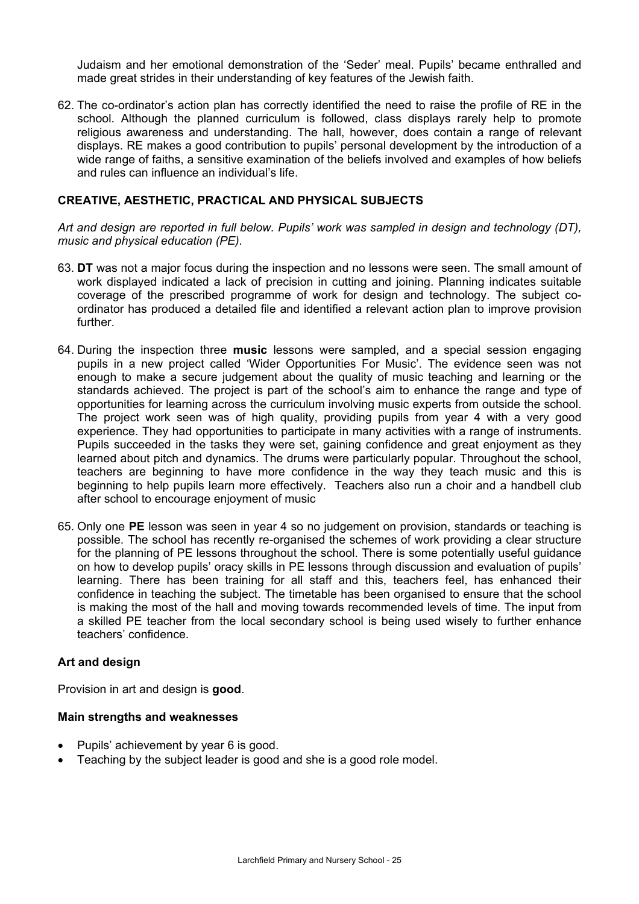Judaism and her emotional demonstration of the 'Seder' meal. Pupils' became enthralled and made great strides in their understanding of key features of the Jewish faith.

62. The co-ordinator's action plan has correctly identified the need to raise the profile of RE in the school. Although the planned curriculum is followed, class displays rarely help to promote religious awareness and understanding. The hall, however, does contain a range of relevant displays. RE makes a good contribution to pupils' personal development by the introduction of a wide range of faiths, a sensitive examination of the beliefs involved and examples of how beliefs and rules can influence an individual's life.

## **CREATIVE, AESTHETIC, PRACTICAL AND PHYSICAL SUBJECTS**

*Art and design are reported in full below. Pupils' work was sampled in design and technology (DT), music and physical education (PE).* 

- 63. **DT** was not a major focus during the inspection and no lessons were seen. The small amount of work displayed indicated a lack of precision in cutting and joining. Planning indicates suitable coverage of the prescribed programme of work for design and technology. The subject coordinator has produced a detailed file and identified a relevant action plan to improve provision further.
- 64. During the inspection three **music** lessons were sampled, and a special session engaging pupils in a new project called 'Wider Opportunities For Music'. The evidence seen was not enough to make a secure judgement about the quality of music teaching and learning or the standards achieved. The project is part of the school's aim to enhance the range and type of opportunities for learning across the curriculum involving music experts from outside the school. The project work seen was of high quality, providing pupils from year 4 with a very good experience. They had opportunities to participate in many activities with a range of instruments. Pupils succeeded in the tasks they were set, gaining confidence and great enjoyment as they learned about pitch and dynamics. The drums were particularly popular. Throughout the school, teachers are beginning to have more confidence in the way they teach music and this is beginning to help pupils learn more effectively. Teachers also run a choir and a handbell club after school to encourage enjoyment of music
- 65. Only one **PE** lesson was seen in year 4 so no judgement on provision, standards or teaching is possible. The school has recently re-organised the schemes of work providing a clear structure for the planning of PE lessons throughout the school. There is some potentially useful guidance on how to develop pupils' oracy skills in PE lessons through discussion and evaluation of pupils' learning. There has been training for all staff and this, teachers feel, has enhanced their confidence in teaching the subject. The timetable has been organised to ensure that the school is making the most of the hall and moving towards recommended levels of time. The input from a skilled PE teacher from the local secondary school is being used wisely to further enhance teachers' confidence.

#### **Art and design**

Provision in art and design is **good**.

#### **Main strengths and weaknesses**

- Pupils' achievement by year 6 is good.
- Teaching by the subject leader is good and she is a good role model.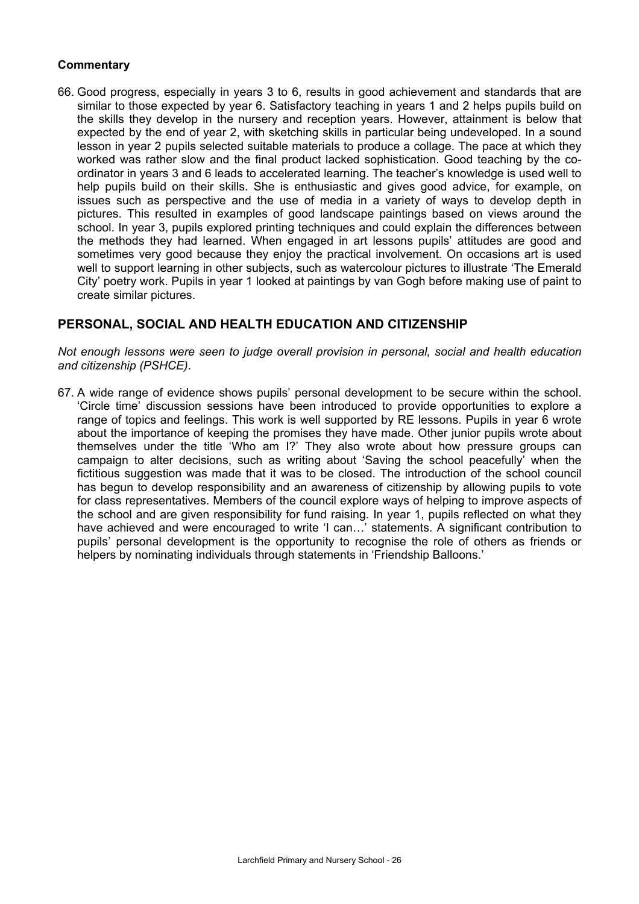## **Commentary**

66. Good progress, especially in years 3 to 6, results in good achievement and standards that are similar to those expected by year 6. Satisfactory teaching in years 1 and 2 helps pupils build on the skills they develop in the nursery and reception years. However, attainment is below that expected by the end of year 2, with sketching skills in particular being undeveloped. In a sound lesson in year 2 pupils selected suitable materials to produce a collage. The pace at which they worked was rather slow and the final product lacked sophistication. Good teaching by the coordinator in years 3 and 6 leads to accelerated learning. The teacher's knowledge is used well to help pupils build on their skills. She is enthusiastic and gives good advice, for example, on issues such as perspective and the use of media in a variety of ways to develop depth in pictures. This resulted in examples of good landscape paintings based on views around the school. In year 3, pupils explored printing techniques and could explain the differences between the methods they had learned. When engaged in art lessons pupils' attitudes are good and sometimes very good because they enjoy the practical involvement. On occasions art is used well to support learning in other subjects, such as watercolour pictures to illustrate 'The Emerald City' poetry work. Pupils in year 1 looked at paintings by van Gogh before making use of paint to create similar pictures.

## **PERSONAL, SOCIAL AND HEALTH EDUCATION AND CITIZENSHIP**

*Not enough lessons were seen to judge overall provision in personal, social and health education and citizenship (PSHCE)*.

67. A wide range of evidence shows pupils' personal development to be secure within the school. 'Circle time' discussion sessions have been introduced to provide opportunities to explore a range of topics and feelings. This work is well supported by RE lessons. Pupils in year 6 wrote about the importance of keeping the promises they have made. Other junior pupils wrote about themselves under the title 'Who am I?' They also wrote about how pressure groups can campaign to alter decisions, such as writing about 'Saving the school peacefully' when the fictitious suggestion was made that it was to be closed. The introduction of the school council has begun to develop responsibility and an awareness of citizenship by allowing pupils to vote for class representatives. Members of the council explore ways of helping to improve aspects of the school and are given responsibility for fund raising. In year 1, pupils reflected on what they have achieved and were encouraged to write 'I can...' statements. A significant contribution to pupils' personal development is the opportunity to recognise the role of others as friends or helpers by nominating individuals through statements in 'Friendship Balloons.'